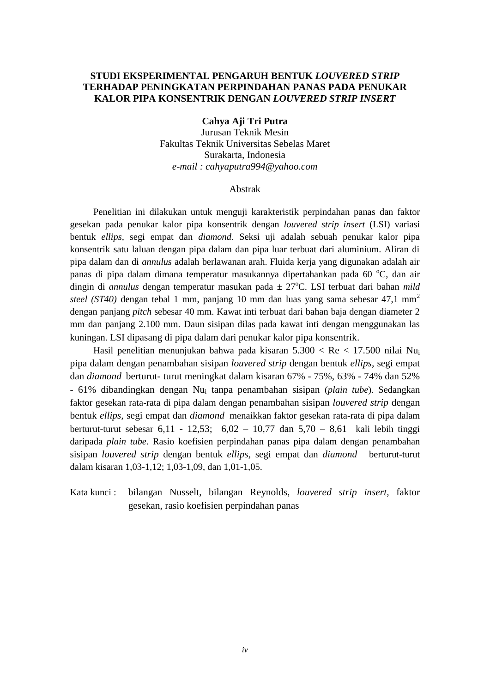## **STUDI EKSPERIMENTAL PENGARUH BENTUK** *LOUVERED STRIP* **TERHADAP PENINGKATAN PERPINDAHAN PANAS PADA PENUKAR KALOR PIPA KONSENTRIK DENGAN** *LOUVERED STRIP INSERT*

**Cahya Aji Tri Putra**

Jurusan Teknik Mesin Fakultas Teknik Universitas Sebelas Maret Surakarta, Indonesia *e-mail : cahyaputra994@yahoo.com*

## Abstrak

Penelitian ini dilakukan untuk menguji karakteristik perpindahan panas dan faktor gesekan pada penukar kalor pipa konsentrik dengan *louvered strip insert* (LSI) variasi bentuk *ellips,* segi empat dan *diamond*. Seksi uji adalah sebuah penukar kalor pipa konsentrik satu laluan dengan pipa dalam dan pipa luar terbuat dari aluminium. Aliran di pipa dalam dan di *annulus* adalah berlawanan arah. Fluida kerja yang digunakan adalah air panas di pipa dalam dimana temperatur masukannya dipertahankan pada 60 °C, dan air dingin di *annulus* dengan temperatur masukan pada  $\pm$  27°C. LSI terbuat dari bahan *mild steel (ST40)* dengan tebal 1 mm, panjang 10 mm dan luas yang sama sebesar 47,1 mm<sup>2</sup> dengan panjang *pitch* sebesar 40 mm. Kawat inti terbuat dari bahan baja dengan diameter 2 mm dan panjang 2.100 mm. Daun sisipan dilas pada kawat inti dengan menggunakan las kuningan. LSI dipasang di pipa dalam dari penukar kalor pipa konsentrik.

Hasil penelitian menunjukan bahwa pada kisaran  $5.300 <$  Re  $< 17.500$  nilai Nu<sub>i</sub> pipa dalam dengan penambahan sisipan *louvered strip* dengan bentuk *ellips,* segi empat dan *diamond* berturut- turut meningkat dalam kisaran 67% - 75%, 63% - 74% dan 52% - 61% dibandingkan dengan Nu<sup>i</sup> tanpa penambahan sisipan (*plain tube*). Sedangkan faktor gesekan rata-rata di pipa dalam dengan penambahan sisipan *louvered strip* dengan bentuk *ellips,* segi empat dan *diamond* menaikkan faktor gesekan rata-rata di pipa dalam berturut-turut sebesar 6,11 - 12,53; 6,02 – 10,77 dan 5,70 – 8,61 kali lebih tinggi daripada *plain tube*. Rasio koefisien perpindahan panas pipa dalam dengan penambahan sisipan *louvered strip* dengan bentuk *ellips,* segi empat dan *diamond* berturut-turut dalam kisaran 1,03-1,12; 1,03-1,09, dan 1,01-1,05.

Kata kunci : bilangan Nusselt, bilangan Reynolds, *louvered strip insert,* faktor gesekan, rasio koefisien perpindahan panas